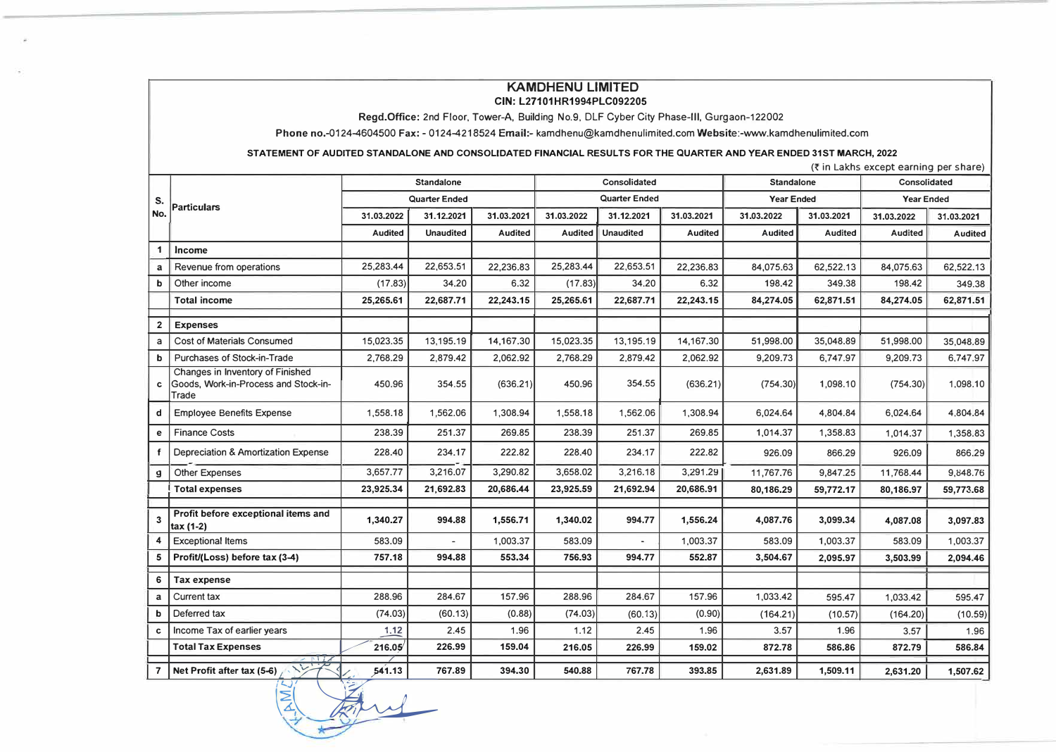## **KAMDHENU LIMITED CIN: L27101HR1994PLC092205**

**Regd.Office:** 2nd Floor, Tower-A, Building No.9, DLF Cyber City Phase-Ill, Gurgaon-122002

**Phone** no.-0124-4604500 **Fax:** - 0124-4218524 **Email:-** kamdhenu@kamdhenulimited.comWebsite:-www.kamdhenulimited.com

STATEMENT OF AUDITED STANDALONE AND CONSOLIDATED FINANCIAL RESULTS FOR THE QUARTER AND YEAR ENDED 31ST MARCH, 2022

| (₹ in Lakhs except earning per share) |                                                                                   |                      |                   |               |                |                  |                   |                |                   |                |                |  |
|---------------------------------------|-----------------------------------------------------------------------------------|----------------------|-------------------|---------------|----------------|------------------|-------------------|----------------|-------------------|----------------|----------------|--|
|                                       |                                                                                   |                      | <b>Standalone</b> |               |                | Consolidated     |                   |                | <b>Standalone</b> | Consolidated   |                |  |
| S.                                    | <b>Particulars</b>                                                                | <b>Quarter Ended</b> |                   | Quarter Ended |                |                  | <b>Year Ended</b> |                | <b>Year Ended</b> |                |                |  |
| No.                                   |                                                                                   | 31.03.2022           | 31.12.2021        | 31.03.2021    | 31.03.2022     | 31.12.2021       | 31.03.2021        | 31.03.2022     | 31.03.2021        | 31.03.2022     | 31.03.2021     |  |
|                                       |                                                                                   | <b>Audited</b>       | <b>Unaudited</b>  | Audited       | <b>Audited</b> | <b>Unaudited</b> | <b>Audited</b>    | <b>Audited</b> | Audited           | <b>Audited</b> | <b>Audited</b> |  |
| 1                                     | <b>Income</b>                                                                     |                      |                   |               |                |                  |                   |                |                   |                |                |  |
| a                                     | Revenue from operations                                                           | 25,283.44            | 22,653.51         | 22,236.83     | 25,283.44      | 22,653.51        | 22,236.83         | 84,075.63      | 62,522.13         | 84,075.63      | 62,522.13      |  |
| b                                     | Other income                                                                      | (17.83)              | 34.20             | 6.32          | (17.83)        | 34.20            | 6.32              | 198.42         | 349.38            | 198.42         | 349.38         |  |
|                                       | <b>Total income</b>                                                               | 25,265.61            | 22,687.71         | 22,243.15     | 25,265.61      | 22,687.71        | 22,243.15         | 84,274.05      | 62,871.51         | 84,274.05      | 62,871.51      |  |
| $\mathbf{2}$                          | <b>Expenses</b>                                                                   |                      |                   |               |                |                  |                   |                |                   |                |                |  |
| a                                     | Cost of Materials Consumed                                                        | 15,023.35            | 13,195.19         | 14,167.30     | 15,023.35      | 13,195.19        | 14,167.30         | 51,998.00      | 35,048.89         | 51,998.00      | 35,048.89      |  |
| b                                     | Purchases of Stock-in-Trade                                                       | 2,768.29             | 2.879.42          | 2,062.92      | 2.768.29       | 2,879.42         | 2,062.92          | 9,209.73       | 6,747.97          | 9,209.73       | 6,747.97       |  |
| c                                     | Changes in Inventory of Finished<br>Goods. Work-in-Process and Stock-in-<br>Trade | 450.96               | 354.55            | (636.21)      | 450.96         | 354.55           | (636.21)          | (754.30)       | 1,098.10          | (754.30)       | 1,098.10       |  |
| d                                     | <b>Employee Benefits Expense</b>                                                  | 1,558.18             | 1,562.06          | 1,308.94      | 1,558.18       | 1,562.06         | 1,308.94          | 6,024.64       | 4,804.84          | 6,024.64       | 4,804.84       |  |
| е                                     | <b>Finance Costs</b>                                                              | 238.39               | 251.37            | 269.85        | 238.39         | 251.37           | 269.85            | 1,014.37       | 1,358.83          | 1,014.37       | 1,358.83       |  |
|                                       | Depreciation & Amortization Expense                                               | 228.40               | 234.17            | 222.82        | 228.40         | 234.17           | 222.82            | 926.09         | 866.29            | 926.09         | 866.29         |  |
| g                                     | Other Expenses                                                                    | 3,657.77             | 3,216.07          | 3,290.82      | 3,658.02       | 3,216.18         | 3,291.29          | 11,767.76      | 9,847.25          | 11.768.44      | 9,848.76       |  |
|                                       | <b>Total expenses</b>                                                             | 23,925.34            | 21,692.83         | 20,686.44     | 23,925.59      | 21,692.94        | 20,686.91         | 80,186.29      | 59,772.17         | 80,186.97      | 59,773.68      |  |
| $\overline{3}$                        | Profit before exceptional items and<br>$tax(1-2)$                                 | 1,340.27             | 994.88            | 1,556.71      | 1,340.02       | 994.77           | 1,556.24          | 4,087.76       | 3,099.34          | 4,087.08       | 3,097.83       |  |
|                                       | <b>Exceptional Items</b>                                                          | 583.09               | ÷                 | 1,003.37      | 583.09         |                  | 1,003.37          | 583.09         | 1,003.37          | 583.09         | 1,003.37       |  |
| 5                                     | Profit/(Loss) before tax (3-4)                                                    | 757.18               | 994.88            | 553.34        | 756.93         | 994.77           | 552.87            | 3,504.67       | 2,095.97          | 3,503.99       | 2,094.46       |  |
| 6                                     | <b>Tax expense</b>                                                                |                      |                   |               |                |                  |                   |                |                   |                |                |  |
| a                                     | Current tax                                                                       | 288.96               | 284.67            | 157.96        | 288.96         | 284.67           | 157.96            | 1,033.42       | 595.47            | 1,033.42       | 595.47         |  |
| b                                     | Deferred tax                                                                      | (74.03)              | (60.13)           | (0.88)        | (74.03)        | (60.13)          | (0.90)            | (164.21)       | (10.57)           | (164.20)       | (10.59)        |  |
| c                                     | Income Tax of earlier years                                                       | 1.12                 | 2.45              | 1.96          | 1.12           | 2.45             | 1.96              | 3.57           | 1.96              | 3.57           | 1.96           |  |
|                                       | <b>Total Tax Expenses</b><br>$2$ MIX                                              | 216.05               | 226.99            | 159.04        | 216.05         | 226.99           | 159.02            | 872.78         | 586.86            | 872.79         | 586.84         |  |
| $\overline{7}$                        | $\sqrt{2}$<br>Net Profit after tax (5-6)                                          | 541.13               | 767.89            | 394.30        | 540.88         | 767.78           | 393.85            | 2,631.89       | 1,509.11          | 2,631.20       | 1,507.62       |  |

 $\frac{1}{4}$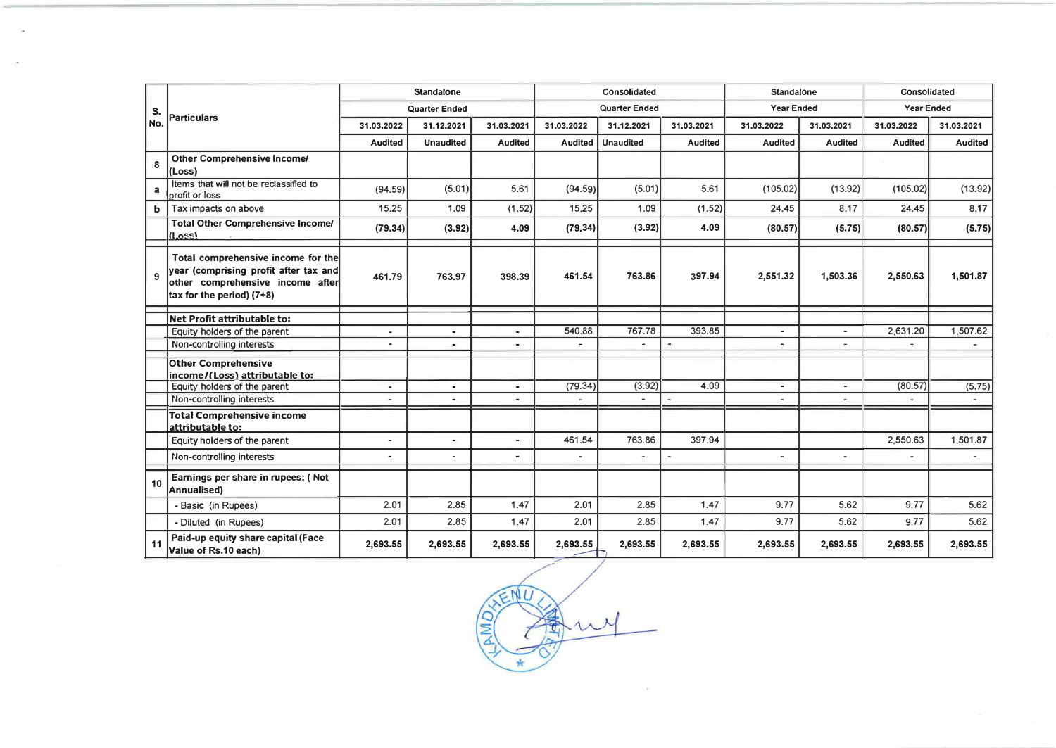|             | Particulars                                                                                                                                  | <b>Standalone</b>        |                      |                | Consolidated             |                      |                | <b>Standalone</b>     |                          | Consolidated      |                |
|-------------|----------------------------------------------------------------------------------------------------------------------------------------------|--------------------------|----------------------|----------------|--------------------------|----------------------|----------------|-----------------------|--------------------------|-------------------|----------------|
| S.          |                                                                                                                                              |                          | <b>Quarter Ended</b> |                |                          | <b>Quarter Ended</b> |                |                       | <b>Year Ended</b>        | <b>Year Ended</b> |                |
| No.         |                                                                                                                                              | 31.03.2022               | 31.12.2021           | 31.03.2021     | 31.03.2022               | 31.12.2021           | 31.03.2021     | 31.03.2022            | 31.03.2021               | 31.03.2022        | 31.03.2021     |
|             |                                                                                                                                              | <b>Audited</b>           | <b>Unaudited</b>     | <b>Audited</b> | <b>Audited</b>           | <b>Unaudited</b>     | <b>Audited</b> | <b>Audited</b>        | <b>Audited</b>           | <b>Audited</b>    | <b>Audited</b> |
| 8           | <b>Other Comprehensive Income/</b><br>(Loss)                                                                                                 |                          |                      |                |                          |                      |                |                       |                          |                   |                |
| a           | Items that will not be reclassified to<br>profit or loss                                                                                     | (94.59)                  | (5.01)               | 5.61           | (94.59)                  | (5.01)               | 5.61           | (105.02)              | (13.92)                  | (105.02)          | (13.92)        |
| $\mathbf b$ | Tax impacts on above                                                                                                                         | 15.25                    | 1.09                 | (1.52)         | 15.25                    | 1.09                 | (1.52)         | 24.45                 | 8.17                     | 24.45             | 8.17           |
|             | <b>Total Other Comprehensive Income/</b><br>(Loss)                                                                                           | (79.34)                  | (3.92)               | 4.09           | (79.34)                  | (3.92)               | 4.09           | (80.57)               | (5.75)                   | (80.57)           | (5.75)         |
| 9           | Total comprehensive income for the<br>year (comprising profit after tax and<br>other comprehensive income after<br>tax for the period) (7+8) | 461.79                   | 763.97               | 398.39         | 461.54                   | 763.86               | 397.94         | 2,551.32              | 1,503.36                 | 2,550.63          | 1,501.87       |
|             | <b>Net Profit attributable to:</b>                                                                                                           |                          |                      |                |                          |                      |                |                       |                          |                   |                |
|             | Equity holders of the parent                                                                                                                 | $\blacksquare$           | $\blacksquare$       | $\blacksquare$ | 540.88                   | 767.78               | 393.85         | $\sim$                |                          | 2,631.20          | 1,507.62       |
|             | Non-controlling interests                                                                                                                    | $\overline{a}$           | $\blacksquare$       | $\blacksquare$ |                          | ٠                    | $\overline{a}$ | $\sim$                |                          |                   |                |
|             | <b>Other Comprehensive</b><br>income/(Loss) attributable to:                                                                                 |                          |                      |                |                          |                      |                |                       |                          |                   |                |
|             | Equity holders of the parent                                                                                                                 | $\overline{\phantom{a}}$ | $\blacksquare$       | ٠              | (79.34)                  | (3.92)               | 4.09           | $\blacksquare$        | $\overline{\phantom{a}}$ | (80.57)           | (5.75)         |
|             | Non-controlling interests                                                                                                                    |                          | $\blacksquare$       | $\blacksquare$ | $\sim$                   |                      |                | $\tilde{\phantom{a}}$ |                          |                   |                |
|             | <b>Total Comprehensive income</b><br>attributable to:                                                                                        |                          |                      |                |                          |                      |                |                       |                          |                   |                |
|             | Equity holders of the parent                                                                                                                 | ٠                        | $\blacksquare$       | $\blacksquare$ | 461.54                   | 763.86               | 397.94         |                       |                          | 2,550.63          | 1,501.87       |
|             | Non-controlling interests                                                                                                                    | $\blacksquare$           | $\blacksquare$       | $\blacksquare$ | $\overline{\phantom{a}}$ | $\blacksquare$       | $\blacksquare$ |                       | $\blacksquare$           | $\blacksquare$    |                |
| 10          | Earnings per share in rupees: (Not<br><b>Annualised)</b>                                                                                     |                          |                      |                |                          |                      |                |                       |                          |                   |                |
|             | - Basic (in Rupees)                                                                                                                          | 2.01                     | 2.85                 | 1.47           | 2.01                     | 2.85                 | 1.47           | 9.77                  | 5.62                     | 9.77              | 5.62           |
|             | - Diluted (in Rupees)                                                                                                                        | 2.01                     | 2.85                 | 1.47           | 2.01                     | 2.85                 | 1.47           | 9.77                  | 5.62                     | 9.77              | 5.62           |
| 11          | Paid-up equity share capital (Face<br>Value of Rs.10 each)                                                                                   | 2,693.55                 | 2,693.55             | 2,693.55       | 2,693.55                 | 2,693.55             | 2,693.55       | 2,693.55              | 2,693.55                 | 2,693.55          | 2,693.55       |

JENU  $\circ$ my 団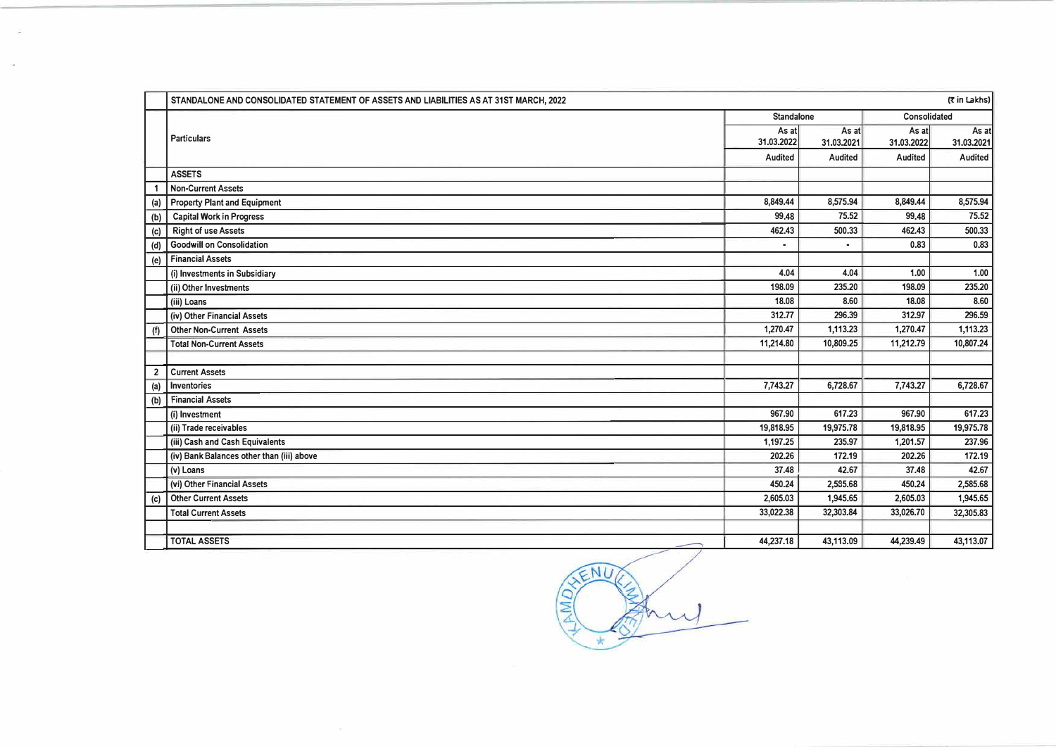|                | STANDALONE AND CONSOLIDATED STATEMENT OF ASSETS AND LIABILITIES AS AT 31ST MARCH, 2022 |                     |                     |                     | (र in Lakhs)        |
|----------------|----------------------------------------------------------------------------------------|---------------------|---------------------|---------------------|---------------------|
|                |                                                                                        | <b>Standalone</b>   |                     | Consolidated        |                     |
|                | <b>Particulars</b>                                                                     | As at<br>31.03.2022 | As at<br>31.03.2021 | As at<br>31.03.2022 | As at<br>31.03.2021 |
|                |                                                                                        | Audited             | Audited             | Audited             | Audited             |
|                | <b>ASSETS</b>                                                                          |                     |                     |                     |                     |
|                | <b>Non-Current Assets</b>                                                              |                     |                     |                     |                     |
| (a)            | <b>Property Plant and Equipment</b>                                                    | 8,849.44            | 8,575.94            | 8,849.44            | 8,575.94            |
| (b)            | <b>Capital Work in Progress</b>                                                        | 99.48               | 75.52               | 99.48               | 75.52               |
| (c)            | <b>Right of use Assets</b>                                                             | 462.43              | 500.33              | 462.43              | 500.33              |
| (d)            | <b>Goodwill on Consolidation</b>                                                       |                     |                     | 0.83                | 0.83                |
| (e)            | <b>Financial Assets</b>                                                                |                     |                     |                     |                     |
|                | (i) Investments in Subsidiary                                                          | 4.04                | 4.04                | 1.00                | 1.00                |
|                | (ii) Other Investments                                                                 | 198.09              | 235.20              | 198.09              | 235.20              |
|                | (iii) Loans                                                                            | 18.08               | 8.60                | 18.08               | 8.60                |
|                | (iv) Other Financial Assets                                                            | 312.77              | 296.39              | 312.97              | 296.59              |
| (f)            | <b>Other Non-Current Assets</b>                                                        | 1,270.47            | 1,113.23            | 1,270.47            | 1,113.23            |
|                | <b>Total Non-Current Assets</b>                                                        | 11,214.80           | 10,809.25           | 11,212.79           | 10,807.24           |
|                |                                                                                        |                     |                     |                     |                     |
| $\overline{2}$ | <b>Current Assets</b>                                                                  |                     |                     |                     |                     |
| (a)            | <b>Inventories</b>                                                                     | 7,743.27            | 6,728.67            | 7,743.27            | 6,728.67            |
| (b)            | <b>Financial Assets</b>                                                                |                     |                     |                     |                     |
|                | (i) Investment                                                                         | 967.90              | 617.23              | 967.90              | 617.23              |
|                | (ii) Trade receivables                                                                 | 19,818.95           | 19,975.78           | 19,818.95           | 19,975.78           |
|                | (iii) Cash and Cash Equivalents                                                        | 1,197.25            | 235.97              | 1,201.57            | 237.96              |
|                | (iv) Bank Balances other than (iii) above                                              | 202.26              | 172.19              | 202.26              | 172.19              |
|                | (v) Loans                                                                              | 37.48               | 42.67               | 37.48               | 42.67               |
|                | (vi) Other Financial Assets                                                            | 450.24              | 2,535.68            | 450.24              | 2,585.68            |
| (c)            | <b>Other Current Assets</b>                                                            | 2,605.03            | 1,945.65            | 2,605.03            | 1,945.65            |
|                | <b>Total Current Assets</b>                                                            | 33,022.38           | 32,303.84           | 33,026.70           | 32,305.83           |
|                | <b>TOTAL ASSETS</b>                                                                    | 44,237.18           | 43,113.09           | 44,239.49           | 43,113.07           |
|                |                                                                                        |                     |                     |                     |                     |

 $\mathcal{L}$ 

à.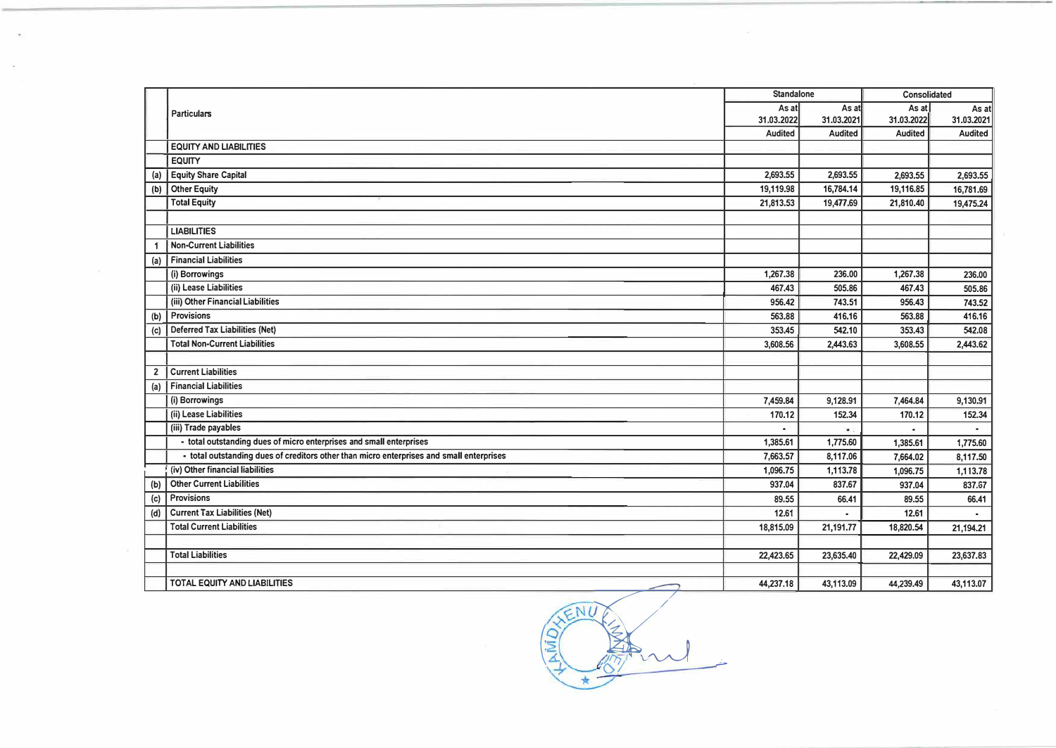| As at<br>As at<br>As at<br><b>Particulars</b><br>31.03.2022<br>31.03.2022<br>31.03.2021<br>Audited<br><b>Audited</b><br><b>Audited</b><br><b>EQUITY AND LIABILITIES</b><br><b>EQUITY</b><br><b>Equity Share Capital</b><br>2,693,55<br>2,693.55<br>2,693.55<br>(a)<br><b>Other Equity</b><br>(b)<br>19,119.98<br>16,784.14<br>19,116.85<br><b>Total Equity</b><br>21,813.53<br>19,477.69<br>21,810.40<br><b>LIABILITIES</b><br><b>Non-Current Liabilities</b><br><b>Financial Liabilities</b><br>(a)<br>1,267.38<br>236.00<br>(i) Borrowings<br>1,267.38<br>(ii) Lease Liabilities<br>467,43<br>505.86<br>467.43<br>(iii) Other Financial Liabilities<br>956.42<br>743.51<br>956.43<br>Provisions<br>563.88<br>416.16<br>563.88<br>(b)<br><b>Deferred Tax Liabilities (Net)</b><br>353,45<br>542.10<br>353.43<br>(c)<br><b>Total Non-Current Liabilities</b><br>2,443.63<br>3,608.56<br>3,608.55<br><b>Current Liabilities</b><br>$\overline{2}$<br><b>Financial Liabilities</b><br>(a)<br>(i) Borrowings<br>7,459.84<br>9,128.91<br>7,464.84<br>(ii) Lease Liabilities<br>152.34<br>170.12<br>170.12<br>(iii) Trade payables<br>原告<br>- total outstanding dues of micro enterprises and small enterprises<br>1,385.61<br>1,775.60<br>1,385.61<br>- total outstanding dues of creditors other than micro enterprises and small enterprises<br>7.663,57<br>8,117.06<br>7,664.02<br>(iv) Other financial liabilities<br>1,113.78<br>1.096.75<br>1,096.75<br><b>Other Current Liabilities</b><br>937.04<br>837,67<br>937.04<br>(b)<br>Provisions<br>89.55<br>66.41<br>89.55<br>(c)<br><b>Current Tax Liabilities (Net)</b><br>12.61<br>12.61<br>(d)<br><b>Total Current Liabilities</b><br>18,815.09<br>21,191.77<br>18,820.54<br><b>Total Liabilities</b><br>22,423.65<br>23,635.40<br>22,429.09<br>TOTAL EQUITY AND LIABILITIES |  | <b>Standalone</b> |           | Consolidated |                |
|--------------------------------------------------------------------------------------------------------------------------------------------------------------------------------------------------------------------------------------------------------------------------------------------------------------------------------------------------------------------------------------------------------------------------------------------------------------------------------------------------------------------------------------------------------------------------------------------------------------------------------------------------------------------------------------------------------------------------------------------------------------------------------------------------------------------------------------------------------------------------------------------------------------------------------------------------------------------------------------------------------------------------------------------------------------------------------------------------------------------------------------------------------------------------------------------------------------------------------------------------------------------------------------------------------------------------------------------------------------------------------------------------------------------------------------------------------------------------------------------------------------------------------------------------------------------------------------------------------------------------------------------------------------------------------------------------------------------------------------------------------------------------------------------------------------------------------|--|-------------------|-----------|--------------|----------------|
|                                                                                                                                                                                                                                                                                                                                                                                                                                                                                                                                                                                                                                                                                                                                                                                                                                                                                                                                                                                                                                                                                                                                                                                                                                                                                                                                                                                                                                                                                                                                                                                                                                                                                                                                                                                                                                |  |                   |           |              | As at          |
|                                                                                                                                                                                                                                                                                                                                                                                                                                                                                                                                                                                                                                                                                                                                                                                                                                                                                                                                                                                                                                                                                                                                                                                                                                                                                                                                                                                                                                                                                                                                                                                                                                                                                                                                                                                                                                |  |                   |           |              | 31.03.2021     |
|                                                                                                                                                                                                                                                                                                                                                                                                                                                                                                                                                                                                                                                                                                                                                                                                                                                                                                                                                                                                                                                                                                                                                                                                                                                                                                                                                                                                                                                                                                                                                                                                                                                                                                                                                                                                                                |  |                   |           |              | Audited        |
|                                                                                                                                                                                                                                                                                                                                                                                                                                                                                                                                                                                                                                                                                                                                                                                                                                                                                                                                                                                                                                                                                                                                                                                                                                                                                                                                                                                                                                                                                                                                                                                                                                                                                                                                                                                                                                |  |                   |           |              |                |
|                                                                                                                                                                                                                                                                                                                                                                                                                                                                                                                                                                                                                                                                                                                                                                                                                                                                                                                                                                                                                                                                                                                                                                                                                                                                                                                                                                                                                                                                                                                                                                                                                                                                                                                                                                                                                                |  |                   |           |              |                |
|                                                                                                                                                                                                                                                                                                                                                                                                                                                                                                                                                                                                                                                                                                                                                                                                                                                                                                                                                                                                                                                                                                                                                                                                                                                                                                                                                                                                                                                                                                                                                                                                                                                                                                                                                                                                                                |  |                   |           |              | 2,693.55       |
|                                                                                                                                                                                                                                                                                                                                                                                                                                                                                                                                                                                                                                                                                                                                                                                                                                                                                                                                                                                                                                                                                                                                                                                                                                                                                                                                                                                                                                                                                                                                                                                                                                                                                                                                                                                                                                |  |                   |           |              | 16,781.69      |
|                                                                                                                                                                                                                                                                                                                                                                                                                                                                                                                                                                                                                                                                                                                                                                                                                                                                                                                                                                                                                                                                                                                                                                                                                                                                                                                                                                                                                                                                                                                                                                                                                                                                                                                                                                                                                                |  |                   |           |              | 19,475.24      |
|                                                                                                                                                                                                                                                                                                                                                                                                                                                                                                                                                                                                                                                                                                                                                                                                                                                                                                                                                                                                                                                                                                                                                                                                                                                                                                                                                                                                                                                                                                                                                                                                                                                                                                                                                                                                                                |  |                   |           |              |                |
|                                                                                                                                                                                                                                                                                                                                                                                                                                                                                                                                                                                                                                                                                                                                                                                                                                                                                                                                                                                                                                                                                                                                                                                                                                                                                                                                                                                                                                                                                                                                                                                                                                                                                                                                                                                                                                |  |                   |           |              |                |
|                                                                                                                                                                                                                                                                                                                                                                                                                                                                                                                                                                                                                                                                                                                                                                                                                                                                                                                                                                                                                                                                                                                                                                                                                                                                                                                                                                                                                                                                                                                                                                                                                                                                                                                                                                                                                                |  |                   |           |              |                |
|                                                                                                                                                                                                                                                                                                                                                                                                                                                                                                                                                                                                                                                                                                                                                                                                                                                                                                                                                                                                                                                                                                                                                                                                                                                                                                                                                                                                                                                                                                                                                                                                                                                                                                                                                                                                                                |  |                   |           |              |                |
|                                                                                                                                                                                                                                                                                                                                                                                                                                                                                                                                                                                                                                                                                                                                                                                                                                                                                                                                                                                                                                                                                                                                                                                                                                                                                                                                                                                                                                                                                                                                                                                                                                                                                                                                                                                                                                |  |                   |           |              | 236,00         |
|                                                                                                                                                                                                                                                                                                                                                                                                                                                                                                                                                                                                                                                                                                                                                                                                                                                                                                                                                                                                                                                                                                                                                                                                                                                                                                                                                                                                                                                                                                                                                                                                                                                                                                                                                                                                                                |  |                   |           |              | 505.86         |
|                                                                                                                                                                                                                                                                                                                                                                                                                                                                                                                                                                                                                                                                                                                                                                                                                                                                                                                                                                                                                                                                                                                                                                                                                                                                                                                                                                                                                                                                                                                                                                                                                                                                                                                                                                                                                                |  |                   |           |              | 743.52         |
|                                                                                                                                                                                                                                                                                                                                                                                                                                                                                                                                                                                                                                                                                                                                                                                                                                                                                                                                                                                                                                                                                                                                                                                                                                                                                                                                                                                                                                                                                                                                                                                                                                                                                                                                                                                                                                |  |                   |           |              | 416.16         |
|                                                                                                                                                                                                                                                                                                                                                                                                                                                                                                                                                                                                                                                                                                                                                                                                                                                                                                                                                                                                                                                                                                                                                                                                                                                                                                                                                                                                                                                                                                                                                                                                                                                                                                                                                                                                                                |  |                   |           |              | 542.08         |
|                                                                                                                                                                                                                                                                                                                                                                                                                                                                                                                                                                                                                                                                                                                                                                                                                                                                                                                                                                                                                                                                                                                                                                                                                                                                                                                                                                                                                                                                                                                                                                                                                                                                                                                                                                                                                                |  |                   |           |              | 2,443.62       |
|                                                                                                                                                                                                                                                                                                                                                                                                                                                                                                                                                                                                                                                                                                                                                                                                                                                                                                                                                                                                                                                                                                                                                                                                                                                                                                                                                                                                                                                                                                                                                                                                                                                                                                                                                                                                                                |  |                   |           |              |                |
|                                                                                                                                                                                                                                                                                                                                                                                                                                                                                                                                                                                                                                                                                                                                                                                                                                                                                                                                                                                                                                                                                                                                                                                                                                                                                                                                                                                                                                                                                                                                                                                                                                                                                                                                                                                                                                |  |                   |           |              |                |
|                                                                                                                                                                                                                                                                                                                                                                                                                                                                                                                                                                                                                                                                                                                                                                                                                                                                                                                                                                                                                                                                                                                                                                                                                                                                                                                                                                                                                                                                                                                                                                                                                                                                                                                                                                                                                                |  |                   |           |              |                |
|                                                                                                                                                                                                                                                                                                                                                                                                                                                                                                                                                                                                                                                                                                                                                                                                                                                                                                                                                                                                                                                                                                                                                                                                                                                                                                                                                                                                                                                                                                                                                                                                                                                                                                                                                                                                                                |  |                   |           |              | 9,130.91       |
|                                                                                                                                                                                                                                                                                                                                                                                                                                                                                                                                                                                                                                                                                                                                                                                                                                                                                                                                                                                                                                                                                                                                                                                                                                                                                                                                                                                                                                                                                                                                                                                                                                                                                                                                                                                                                                |  |                   |           |              | 152.34         |
|                                                                                                                                                                                                                                                                                                                                                                                                                                                                                                                                                                                                                                                                                                                                                                                                                                                                                                                                                                                                                                                                                                                                                                                                                                                                                                                                                                                                                                                                                                                                                                                                                                                                                                                                                                                                                                |  |                   |           |              | $\blacksquare$ |
|                                                                                                                                                                                                                                                                                                                                                                                                                                                                                                                                                                                                                                                                                                                                                                                                                                                                                                                                                                                                                                                                                                                                                                                                                                                                                                                                                                                                                                                                                                                                                                                                                                                                                                                                                                                                                                |  |                   |           |              | 1,775.60       |
|                                                                                                                                                                                                                                                                                                                                                                                                                                                                                                                                                                                                                                                                                                                                                                                                                                                                                                                                                                                                                                                                                                                                                                                                                                                                                                                                                                                                                                                                                                                                                                                                                                                                                                                                                                                                                                |  |                   |           |              | 8,117.50       |
|                                                                                                                                                                                                                                                                                                                                                                                                                                                                                                                                                                                                                                                                                                                                                                                                                                                                                                                                                                                                                                                                                                                                                                                                                                                                                                                                                                                                                                                                                                                                                                                                                                                                                                                                                                                                                                |  |                   |           |              | 1,113.78       |
|                                                                                                                                                                                                                                                                                                                                                                                                                                                                                                                                                                                                                                                                                                                                                                                                                                                                                                                                                                                                                                                                                                                                                                                                                                                                                                                                                                                                                                                                                                                                                                                                                                                                                                                                                                                                                                |  |                   |           |              | 837.67         |
|                                                                                                                                                                                                                                                                                                                                                                                                                                                                                                                                                                                                                                                                                                                                                                                                                                                                                                                                                                                                                                                                                                                                                                                                                                                                                                                                                                                                                                                                                                                                                                                                                                                                                                                                                                                                                                |  |                   |           |              | 66,41          |
|                                                                                                                                                                                                                                                                                                                                                                                                                                                                                                                                                                                                                                                                                                                                                                                                                                                                                                                                                                                                                                                                                                                                                                                                                                                                                                                                                                                                                                                                                                                                                                                                                                                                                                                                                                                                                                |  |                   |           |              |                |
|                                                                                                                                                                                                                                                                                                                                                                                                                                                                                                                                                                                                                                                                                                                                                                                                                                                                                                                                                                                                                                                                                                                                                                                                                                                                                                                                                                                                                                                                                                                                                                                                                                                                                                                                                                                                                                |  |                   |           |              | 21,194.21      |
|                                                                                                                                                                                                                                                                                                                                                                                                                                                                                                                                                                                                                                                                                                                                                                                                                                                                                                                                                                                                                                                                                                                                                                                                                                                                                                                                                                                                                                                                                                                                                                                                                                                                                                                                                                                                                                |  |                   |           |              |                |
|                                                                                                                                                                                                                                                                                                                                                                                                                                                                                                                                                                                                                                                                                                                                                                                                                                                                                                                                                                                                                                                                                                                                                                                                                                                                                                                                                                                                                                                                                                                                                                                                                                                                                                                                                                                                                                |  |                   |           |              | 23,637.83      |
|                                                                                                                                                                                                                                                                                                                                                                                                                                                                                                                                                                                                                                                                                                                                                                                                                                                                                                                                                                                                                                                                                                                                                                                                                                                                                                                                                                                                                                                                                                                                                                                                                                                                                                                                                                                                                                |  |                   |           |              |                |
|                                                                                                                                                                                                                                                                                                                                                                                                                                                                                                                                                                                                                                                                                                                                                                                                                                                                                                                                                                                                                                                                                                                                                                                                                                                                                                                                                                                                                                                                                                                                                                                                                                                                                                                                                                                                                                |  | 44,237.18         | 43,113.09 | 44,239.49    | 43,113.07      |

 $\frac{1}{2}$ 

 $\mathcal{L}_{\mathcal{C}}$ 

ENU El Hend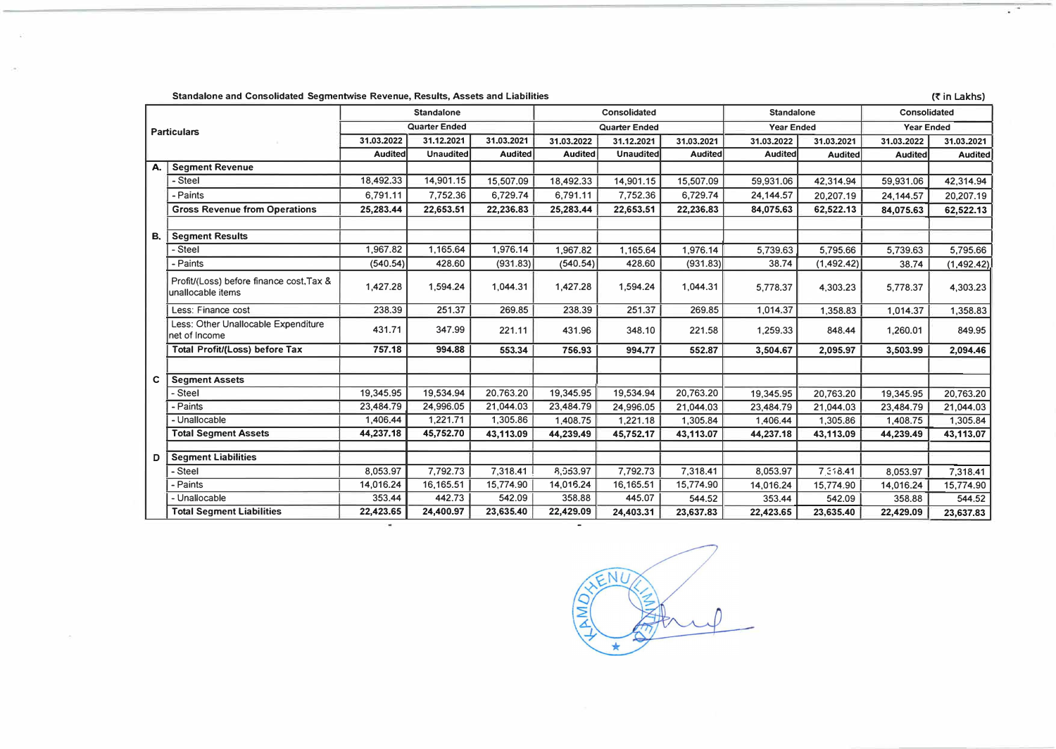Standalone and Consolidated Segmentwise Revenue, Results, Assets and Liabilities **(� in Lakhs)** 

| <b>Particulars</b> |                                                               | <b>Standalone</b>    |            |                | Consolidated         |                  |                | <b>Standalone</b> |                | Consolidated      |             |
|--------------------|---------------------------------------------------------------|----------------------|------------|----------------|----------------------|------------------|----------------|-------------------|----------------|-------------------|-------------|
|                    |                                                               | <b>Quarter Ended</b> |            |                | <b>Quarter Ended</b> |                  |                | <b>Year Ended</b> |                | <b>Year Ended</b> |             |
|                    |                                                               | 31.03.2022           | 31.12.2021 | 31.03.2021     | 31.03.2022           | 31.12.2021       | 31.03.2021     | 31.03.2022        | 31.03.2021     | 31.03.2022        | 31.03.2021  |
|                    |                                                               | <b>Audited</b>       | Unaudited  | <b>Audited</b> | <b>Audited</b>       | <b>Unaudited</b> | <b>Audited</b> | <b>Audited</b>    | <b>Audited</b> | <b>Audited</b>    | Audited     |
| А.                 | <b>Segment Revenue</b>                                        |                      |            |                |                      |                  |                |                   |                |                   |             |
|                    | - Steel                                                       | 18,492.33            | 14,901.15  | 15,507.09      | 18,492.33            | 14,901.15        | 15,507.09      | 59,931.06         | 42,314.94      | 59,931.06         | 42,314.94   |
|                    | - Paints                                                      | 6,791.11             | 7,752.36   | 6,729.74       | 6,791.11             | 7,752.36         | 6,729.74       | 24,144.57         | 20,207.19      | 24,144.57         | 20,207.19   |
|                    | <b>Gross Revenue from Operations</b>                          | 25,283.44            | 22,653.51  | 22,236.83      | 25,283.44            | 22,653.51        | 22,236.83      | 84,075.63         | 62,522.13      | 84,075.63         | 62,522.13   |
|                    |                                                               |                      |            |                |                      |                  |                |                   |                |                   |             |
| В.                 | <b>Segment Results</b>                                        |                      |            |                |                      |                  |                |                   |                |                   |             |
|                    | - Steel                                                       | 1.967.82             | 1,165.64   | 1,976.14       | 1,967.82             | 1,165.64         | 1,976.14       | 5,739.63          | 5,795.66       | 5,739.63          | 5,795.66    |
|                    | - Paints                                                      | (540.54)             | 428.60     | (931.83)       | (540.54)             | 428.60           | (931.83)       | 38.74             | (1, 492.42)    | 38.74             | (1, 492.42) |
|                    | Profit/(Loss) before finance cost, Tax &<br>unallocable items | 1,427.28             | 1,594.24   | 1,044.31       | 1,427.28             | 1,594.24         | 1,044.31       | 5,778.37          | 4,303.23       | 5,778.37          | 4,303.23    |
|                    | Less: Finance cost                                            | 238.39               | 251.37     | 269.85         | 238.39               | 251.37           | 269.85         | 1,014.37          | 1,358.83       | 1,014.37          | 1,358.83    |
|                    | Less: Other Unallocable Expenditure<br>net of Income          | 431.71               | 347.99     | 221.11         | 431.96               | 348.10           | 221.58         | 1,259.33          | 848.44         | 1,260.01          | 849.95      |
|                    | <b>Total Profit/(Loss) before Tax</b>                         | 757.18               | 994.88     | 553.34         | 756.93               | 994.77           | 552.87         | 3,504.67          | 2,095.97       | 3,503.99          | 2,094.46    |
|                    |                                                               |                      |            |                |                      |                  |                |                   |                |                   |             |
| C                  | <b>Segment Assets</b>                                         |                      |            |                |                      |                  |                |                   |                |                   |             |
|                    | Steel                                                         | 19,345.95            | 19,534.94  | 20,763.20      | 19,345.95            | 19,534.94        | 20,763.20      | 19,345.95         | 20,763.20      | 19,345.95         | 20,763.20   |
|                    | - Paints                                                      | 23,484.79            | 24,996.05  | 21,044.03      | 23,484.79            | 24,996.05        | 21,044.03      | 23,484.79         | 21,044.03      | 23,484.79         | 21,044.03   |
|                    | - Unallocable                                                 | 1,406.44             | 1,221.71   | 1,305.86       | 1,408.75             | 1,221.18         | 1,305.84       | 1,406.44          | 1,305.86       | 1,408.75          | 1,305.84    |
|                    | <b>Total Segment Assets</b>                                   | 44,237.18            | 45,752.70  | 43,113.09      | 44,239.49            | 45,752.17        | 43,113.07      | 44,237.18         | 43,113.09      | 44,239.49         | 43,113.07   |
|                    |                                                               |                      |            |                |                      |                  |                |                   |                |                   |             |
| D                  | <b>Segment Liabilities</b>                                    |                      |            |                |                      |                  |                |                   |                |                   |             |
|                    | - Steel                                                       | 8,053.97             | 7,792.73   | 7,318.41       | 8,053.97             | 7,792.73         | 7,318.41       | 8,053.97          | 7.318.41       | 8,053.97          | 7,318.41    |
|                    | - Paints                                                      | 14,016.24            | 16,165.51  | 15,774.90      | 14,016.24            | 16,165.51        | 15,774.90      | 14,016.24         | 15,774.90      | 14,016.24         | 15,774.90   |
|                    | - Unallocable                                                 | 353.44               | 442.73     | 542.09         | 358.88               | 445.07           | 544.52         | 353.44            | 542.09         | 358.88            | 544.52      |
|                    | <b>Total Segment Liabilities</b>                              | 22,423.65            | 24,400.97  | 23,635.40      | 22,429.09            | 24,403.31        | 23,637.83      | 22,423.65         | 23,635.40      | 22,429.09         | 23,637.83   |

NI I

 $\overline{\mathbb{R}^+}$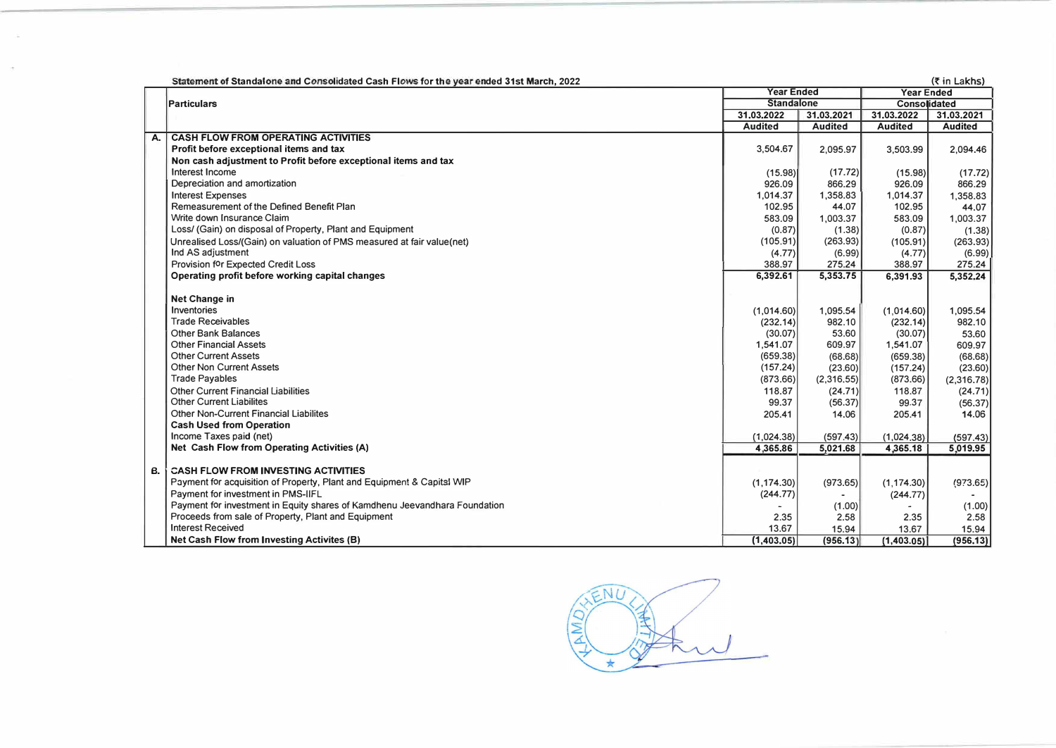|    | Statement of Standalone and Consolidated Cash Flows for the year ended 31st March, 2022 |                   |                |                     | $(5 \in \mathsf{Lakhs})$ |
|----|-----------------------------------------------------------------------------------------|-------------------|----------------|---------------------|--------------------------|
|    |                                                                                         | <b>Year Ended</b> |                | <b>Year Ended</b>   |                          |
|    | <b>IParticulars</b>                                                                     | <b>Standalone</b> |                | <b>Consolidated</b> |                          |
|    |                                                                                         | 31.03.2022        | 31.03.2021     | 31,03.2022          | 31,03,2021               |
|    |                                                                                         | <b>Audited</b>    | <b>Audited</b> | <b>Audited</b>      | <b>Audited</b>           |
| А. | <b>CASH FLOW FROM OPERATING ACTIVITIES</b>                                              |                   |                |                     |                          |
|    | Profit before exceptional items and tax                                                 | 3.504.67          | 2,095.97       | 3,503.99            | 2,094.46                 |
|    | Non cash adjustment to Profit before exceptional items and tax                          |                   |                |                     |                          |
|    | Interest Income                                                                         | (15.98)           | (17.72)        | (15.98)             | (17.72)                  |
|    | Depreciation and amortization                                                           | 926.09            | 866.29         | 926.09              | 866.29                   |
|    | <b>Interest Expenses</b>                                                                | 1,014.37          | 1,358.83       | 1,014.37            | 1,358.83                 |
|    | Remeasurement of the Defined Benefit Plan                                               | 102.95            | 44.07          | 102.95              | 44.07                    |
|    | Write down Insurance Claim                                                              | 583.09            | 1,003.37       | 583.09              | 1,003.37                 |
|    | Loss/ (Gain) on disposal of Property, Plant and Equipment                               | (0.87)            | (1.38)         | (0.87)              | (1.38)                   |
|    | Unrealised Loss/(Gain) on valuation of PMS measured at fair value(net)                  | (105.91)          | (263.93)       | (105.91)            | (263.93)                 |
|    | Ind AS adjustment                                                                       | (4.77)            | (6.99)         | (4.77)              | (6.99)                   |
|    | Provision for Expected Credit Loss                                                      | 388.97            | 275.24         | 388.97              | 275.24                   |
|    | Operating profit before working capital changes                                         | 6,392.61          | 5,353.75       | 6,391.93            | 5,352,24                 |
|    |                                                                                         |                   |                |                     |                          |
|    | <b>Net Change in</b>                                                                    |                   |                |                     |                          |
|    | Inventories                                                                             | (1,014.60)        | 1,095.54       | (1,014.60)          | 1,095.54                 |
|    | <b>Trade Receivables</b>                                                                | (232.14)          | 982.10         | (232.14)            | 982.10                   |
|    | <b>Other Bank Balances</b>                                                              | (30.07)           | 53.60          | (30.07)             | 53.60                    |
|    | <b>Other Financial Assets</b>                                                           | 1,541.07          | 609.97         | 1,541.07            | 609.97                   |
|    | <b>Other Current Assets</b>                                                             | (659.38)          | (68.68)        | (659.38)            | (68.68)                  |
|    | <b>Other Non Current Assets</b>                                                         | (157.24)          | (23.60)        | (157.24)            | (23.60)                  |
|    | <b>Trade Payables</b>                                                                   | (873.66)          | (2,316.55)     | (873.66)            | (2,316.78)               |
|    | Other Current Financial Liabilities                                                     | 118.87            | (24.71)        | 118.87              | (24.71)                  |
|    | <b>Other Current Liabilites</b>                                                         | 99.37             | (56.37)        | 99.37               | (56.37)                  |
|    | <b>Other Non-Current Financial Liabilites</b>                                           | 205.41            | 14.06          | 205.41              | 14.06                    |
|    | <b>Cash Used from Operation</b>                                                         |                   |                |                     |                          |
|    | Income Taxes paid (net)                                                                 | (1,024.38)        | (597.43)       | (1,024.38)          | (597.43)                 |
|    | Net Cash Flow from Operating Activities (A)                                             | 4,365,86          | 5,021.68       | 4,365.18            | 5,019.95                 |
| В. | <b>CASH FLOW FROM INVESTING ACTIVITIES</b>                                              |                   |                |                     |                          |
|    | Payment for acquisition of Property, Plant and Equipment & Capital WIP                  | (1, 174.30)       | (973.65)       | (1, 174.30)         | (973.65)                 |
|    | Payment for investment in PMS-IIFL                                                      | (244.77)          |                | (244.77)            |                          |
|    | Payment for investment in Equity shares of Kamdhenu Jeevandhara Foundation              |                   | (1.00)         |                     | (1.00)                   |
|    | Proceeds from sale of Property, Plant and Equipment                                     | 2.35              | 2.58           | 2.35                | 2.58                     |
|    | <b>Interest Received</b>                                                                | 13.67             | 15.94          | 13.67               | 15.94                    |
|    | Net Cash Flow from Investing Activites (B)                                              | (1,403.05)        | (956.13)       | (1,403.05)          | (956.13)                 |

 $5\overline{NI}$ Jay **AMD**  $\star$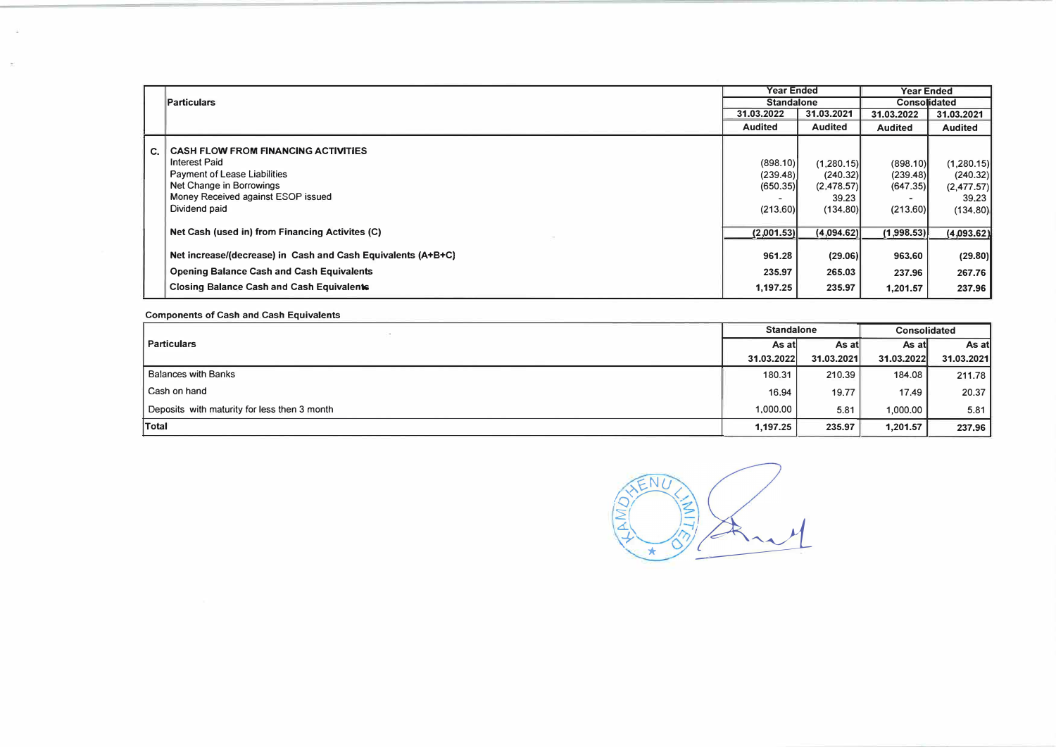|    |                                                              | <b>Year Ended</b> |                   | <b>Year Ended</b> |                     |
|----|--------------------------------------------------------------|-------------------|-------------------|-------------------|---------------------|
|    | <b>Particulars</b>                                           |                   | <b>Standalone</b> |                   | <b>Consolidated</b> |
|    |                                                              | 31.03.2022        | 31.03.2021        | 31.03.2022        | 31.03.2021          |
|    |                                                              | <b>Audited</b>    | <b>Audited</b>    | <b>Audited</b>    | <b>Audited</b>      |
| C. | <b>CASH FLOW FROM FINANCING ACTIVITIES</b>                   |                   |                   |                   |                     |
|    | <b>Interest Paid</b>                                         | (898.10)          | (1,280.15)        | (898.10)          | (1,280.15)          |
|    | <b>Payment of Lease Liabilities</b>                          | (239.48)          | (240.32)          | (239.48)          | (240.32)            |
|    | Net Change in Borrowings                                     | (650.35)          | (2,478.57)        | (647.35)          | (2,477.57)          |
|    | Money Received against ESOP issued                           |                   | 39.23             |                   | 39.23               |
|    | Dividend paid                                                | (213.60)          | (134.80)          | (213.60)          | (134.80)            |
|    |                                                              |                   |                   |                   |                     |
|    | Net Cash (used in) from Financing Activites (C)              | (2,001.53)        | (4,094.62)        | (1,998.53)        | (4,093.62)          |
|    | Net increase/(decrease) in Cash and Cash Equivalents (A+B+C) | 961.28            | (29.06)           | 963,60            | (29.80)             |
|    | <b>Opening Balance Cash and Cash Equivalents</b>             | 235.97            | 265.03            | 237.96            | 267.76              |
|    | <b>Closing Balance Cash and Cash Equivalents</b>             | 1.197.25          | 235.97            | 1,201.57          | 237.96              |

Components of Cash and.Cash Equivalents

 $\bar{\alpha}$ 

|                                              | <b>Standalone</b> |            | <b>Consolidated</b> |            |
|----------------------------------------------|-------------------|------------|---------------------|------------|
| <b>Particulars</b>                           | As atl            | As atl     | As atl              | As atl     |
|                                              | 31.03.2022        | 31.03.2021 | 31.03.2022          | 31.03.2021 |
| <b>Balances with Banks</b>                   | 180.31            | 210.39     | 184.08              | 211.78     |
| Cash on hand                                 | 16.94             | 19.77      | 17.49               | 20.37      |
| Deposits with maturity for less then 3 month | 1,000.00          | 5.81       | 1,000.00            | 5.81       |
| <b>Total</b>                                 | 1,197.25          | 235.97     | 1,201.57            | 237.96     |

**WENU**  $\frac{1}{2}$ �  $\Delta$  .  $\leq$ \* <u> Andrew Marian Maria Maria Maria Maria Maria Maria Maria Maria Maria Maria Maria Maria Maria Maria Maria Maria </u>